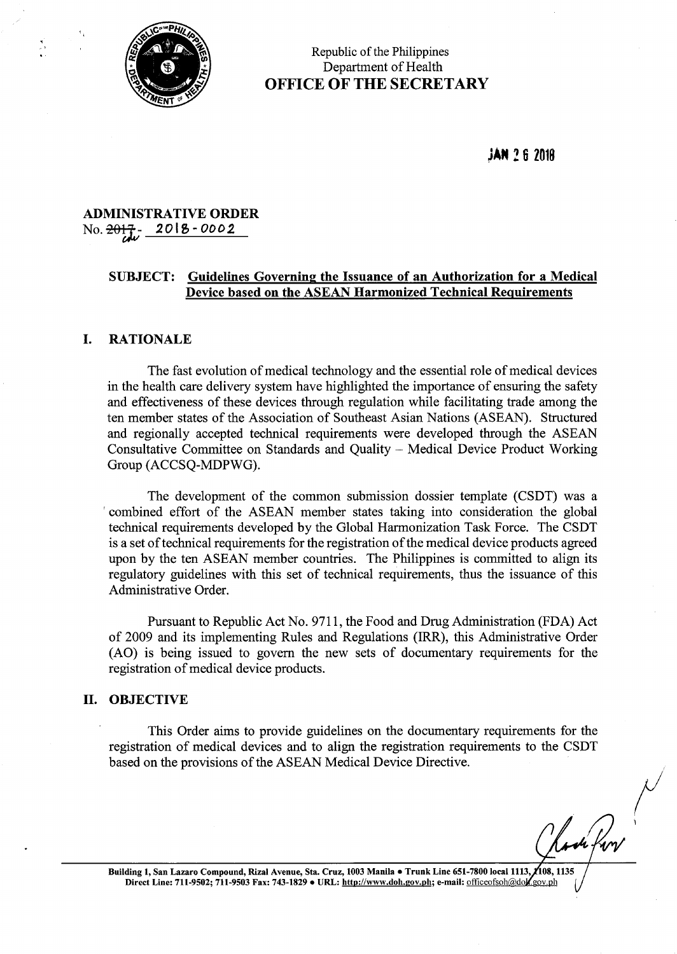

 $\frac{1}{2}$ 

# Republic of the Philippines Department of Health OFFICE OF THE SECRETARY

JAN 26 <sup>2018</sup>

# ADMINISTRATIVE ORDER No.  $\frac{2017}{10}$ - 2018-0002

# SUBJECT: Guidelines Governing the Issuance of an Authorization for a Medical Device based on the ASEAN Harmonized Technical Requirements

## I. RATIONALE

The fast evolution of medical technology and the essential role of medical devices in the health care delivery system have highlighted the importance of ensuring the safety and effectiveness of these devices through regulation while facilitating trade among the ten member states of the Association of Southeast Asian Nations (ASEAN). Structured and regionally accepted technical requirements were developed through the ASEAN Consultative Committee on Standards and Quality — Medical Device Product Working Group (ACCSQ-MDPWG).

The development of the common submission dossier template (CSDT) was a 'combined effort of the ASEAN member states taking into consideration the global technical requirements developed by the Global Harmonization Task Force. The CSDT is a set of technical requirements for the registration of the medical device products agreed upon by the ten ASEAN member countries. The Philippines is committed to align its regulatory guidelines with this set of technical requirements, thus the issuance of this Administrative Order.

Pursuant to Republic Act No. 9711, the Food and Drug Administration (FDA) Act of 2009 and its implementing Rules and Regulations (IRR), this Administrative Order (A0) is being issued to govern the new sets of documentary requirements for the registration of medical device products.

#### II. OBJECTIVE

This Order aims to provide guidelines on the documentary requirements for the registration of medical devices and to align the registration requirements to the CSDT based on the provisions of the ASEAN Medical Device Directive.

Building 1, San Lazaro Compound, Rizal Avenue, Sta. Cruz, 1003 Manila · Trunk Line 651-7800 local 1113, 108, 1135 ding 1, San Lazaro Compound, Rizal Avenue, Sta. Cruz, 1003 Manila • Trunk Line 651-7800 local 1113, 7108, 1135<br>Direct Line: 711-9502; 711-9503 Fax: 743-1829 • URL: <u>http://www.doh.gov.ph;</u> e-mail: <u>officeofsoh@dok.gov.ph</u>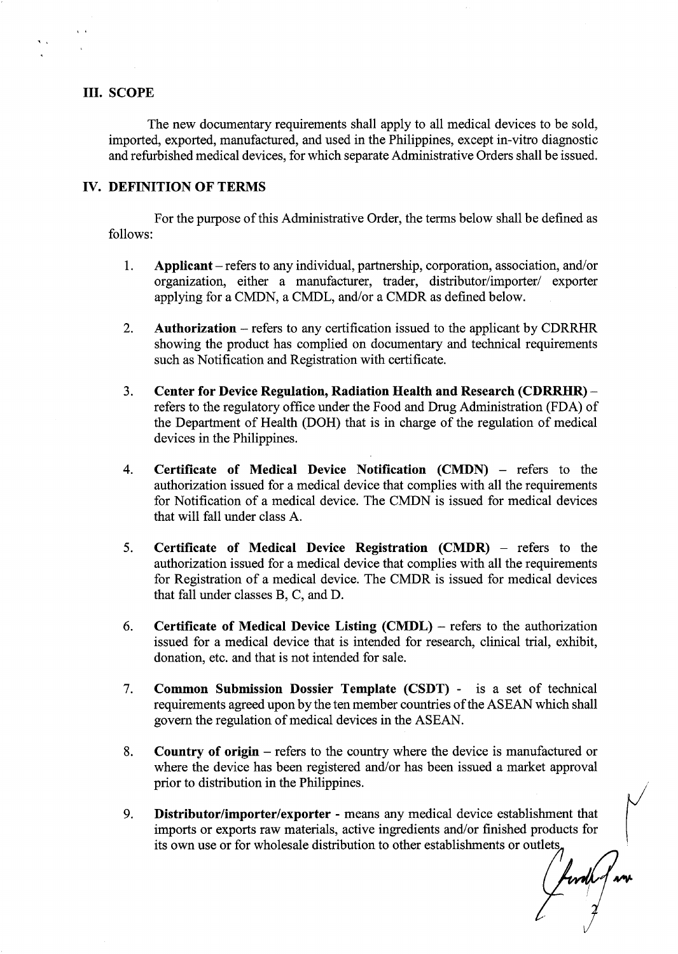#### III. SCOPE

The new documentary requirements shall apply to all medical devices to be sold, imported, exported, manufactured, and used in the Philippines, except in—vitro diagnostic and refurbished medical devices, for which separate Administrative Orders shall be issued.

# IV. DEFINITION OF TERMS

For the purpose of this Administrative Order, the terms below shall be defined as follows:

- 1. Applicant refers to any individual, partnership, corporation, association, and/or organization, either a manufacturer, trader, distributor/importer/ exporter applying for a CMDN, a CMDL, and/or a CMDR as defined below.
- $2.$ Authorization  $-$  refers to any certification issued to the applicant by CDRRHR showing the product has complied on documentary and technical requirements such as Notification and Registration with certificate.
- Center for Device Regulation, Radiation Health and Research (CDRRHR) - $3.$ refers to the regulatory office under the Food and Drug Administration (FDA) of the Department of Health (DOH) that is in charge of the regulation of medical devices in the Philippines.
- $\overline{4}$ . Certificate of Medical Device Notification (CMDN) — refers to the authorization issued for a medical device that complies with all the requirements for Notification of a medical device. The CMDN is issued for medical devices that will fall under class A.
- 5. Certificate of Medical Device Registration (CMDR) — refers to the authorization issued for a medical device that complies with all the requirements for Registration of a medical device. The CMDR is issued for medical devices that fall under classes B, C, and D.
- 6. Certificate of Medical Device Listing  $(CMDL)$  – refers to the authorization issued for a medical device that is intended for research, clinical trial, exhibit, donation, etc. and that is not intended for sale.
- 7. Common Submission Dossier Template (CSDT) - is a set of technical requirements agreed upon by the ten member countries of the ASEAN which shall govern the regulation of medical devices in the ASEAN.
- Country of origin refers to the country where the device is manufactured or 8. where the device has been registered and/or has been issued a market approval prior to distribution in the Philippines.
- Distributor/importer/exporter means any medical device establishment that 9. imports or exports raw materials, active ingredients and/or finished products for its own use or for wholesale distribution to other establishments or outlets,

forde f un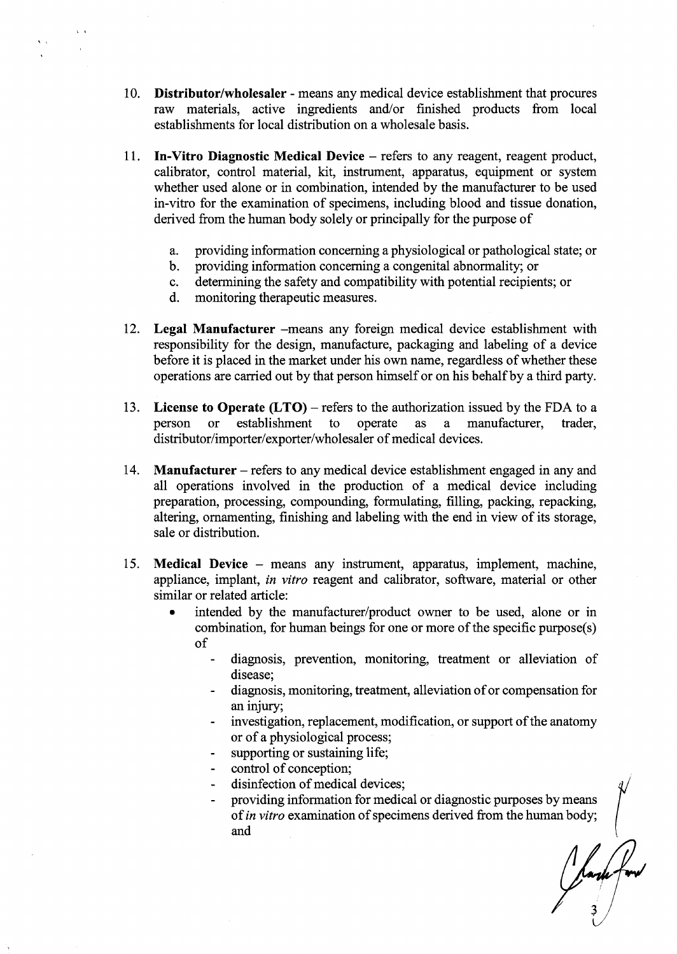- 10. Distributor/wholesaler means any medical device establishment that procures raw materials, active ingredients and/or finished products from local establishments for local distribution on a wholesale basis.
- 11. In-Vitro Diagnostic Medical Device — refers to any reagent, reagent product, calibrator, control material, kit, instrument, apparatus, equipment or system whether used alone or in combination, intended by the manufacturer to be used in-vitro for the examination of specimens, including blood and tissue donation, derived from the human body solely or principally for the purpose of
	- providing information concerning a physiological or pathological state; or a.
	- providing information concerning a congenital abnormality; or  $b$ .
	- determining the safety and compatibility with potential recipients; or  $c_{\cdot}$
	- monitoring therapeutic measures.  $d.$
- 12. Legal Manufacturer —means any foreign medical device establishment with responsibility for the design, manufacture, packaging and labeling of a device before it is placed in the market under his own name, regardless of whether these operations are carried out by that person himself or on his behalf by a third party.
- 13. License to Operate  $(LTO)$  – refers to the authorization issued by the FDA to a person or establishment to operate as a manufacturer, trader, distributor/importer/exporter/wholesaler of medical devices.
- 14. Manufacturer — refers to any medical device establishment engaged in any and all operations involved in the production of a medical device including preparation, processing, compounding, formulating, filling, packing, repacking, altering, ornamenting, finishing and labeling with the end in View of its storage, sale or distribution.
- 15. Medical Device — means any instrument, apparatus, implement, machine, appliance, implant, in vitro reagent and calibrator, software, material or other similar or related article:
	- intended by the manufacturer/product owner to be used, alone or in combination, for human beings for one or more of the specific purpose(s) of
		- diagnosis, prevention, monitoring, treatment or alleviation of disease;
		- diagnosis, monitoring, treatment, alleviation of or compensation for an injury;
		- investigation, replacement, modification, or support of the anatomy or of a physiological process;
		- supporting or sustaining life;
		- control of conception;
		- disinfection of medical devices;
		- providing information for medical or diagnostic purposes by means of in vitro examination of specimens derived from the human body; and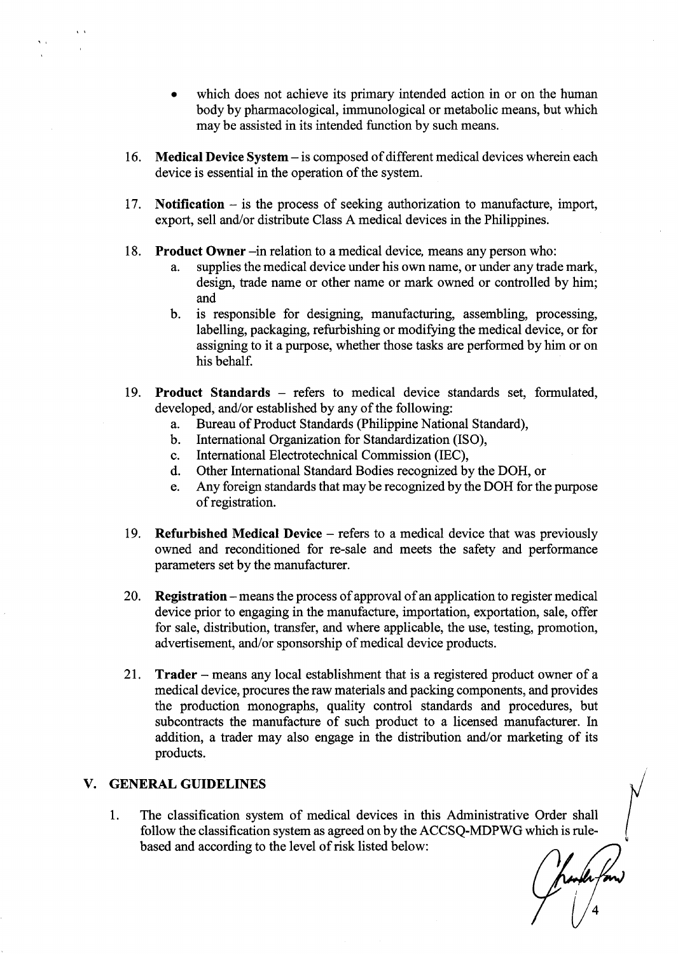- which does not achieve its primary intended action in or on the human body by pharmacological, immunological or metabolic means, but which may be assisted in its intended function by such means.
- 16. Medical Device System is composed of different medical devices wherein each device is essential in the operation of the system.
- 17. Notification  $-$  is the process of seeking authorization to manufacture, import, export, sell and/or distribute Class A medical devices in the Philippines.
- 18. Product Owner —in relation to a medical device, means any person who:
	- a. supplies the medical device under his own name, or under any trade mark, design, trade name or other name or mark owned or controlled by him; and
	- b. is responsible for designing, manufacturing, assembling, processing, labelling, packaging, refurbishing or modifying the medical device, or for assigning to it a purpose, whether those tasks are performed by him or on his behalf.
- 19. Product Standards refers to medical device standards set, formulated, developed, and/or established by any of the following:
	- Bureau of Product Standards (Philippine National Standard),  $a_{\cdot}$
	- International Organization for Standardization (ISO),  $\mathbf{b}$ .
	- International Electrotechnical Commission (IEC), c.
	- Other International Standard Bodies recognized by the DOH, or d.
	- Any foreign standards that may be recognized by the DOH for the purpose e. ofregistration.
- 19. Refurbished Medical Device refers to a medical device that was previously owned and reconditioned for re—sale and meets the safety and performance parameters set by the manufacturer.
- 20. Registration – means the process of approval of an application to register medical device prior to engaging in the manufacture, importation, exportation, sale, offer for sale, distribution, transfer, and where applicable, the use, testing, promotion, advertisement, and/or sponsorship of medical device products.
- 21. Trader — means any local establishment that is a registered product owner of a medical device, procures the raw materials and packing components, and provides the production monographs, quality control standards and procedures, but subcontracts the manufacture of such product to a licensed manufacturer. In addition, a trader may also engage in the distribution and/or marketing of its products.

# V. GENERAL GUIDELINES

1. The classification system of medical devices in this Administrative Order shall follow the classification system as agreed on by the ACCSQ-MDPWG which is rulebased and according to the level of risk listed below: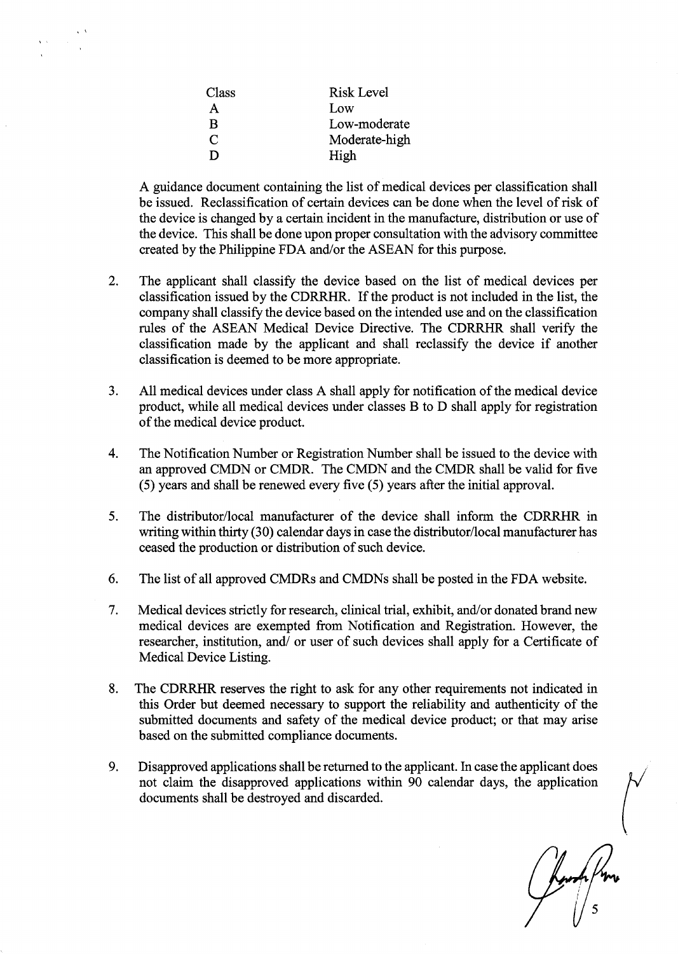| Class        | Risk Level    |
|--------------|---------------|
| A            | Low           |
| B            | Low-moderate  |
| $\mathsf{C}$ | Moderate-high |
| D            | High          |

A guidance document containing the list of medical devices per classification shall be issued. Reclassification of certain devices can be done when the level of risk of the device is changed by a certain incident in the manufacture, distribution or use of the device. This shall be done upon proper consultation with the advisory committee created by the Philippine FDA and/or the ASEAN for this purpose.

- $\overline{2}$ . The applicant shall classify the device based on the list of medical devices per classification issued by the CDRRHR. If the product is not included in the list, the company shall classify the device based on the intended use and on the classification rules of the ASEAN Medical Device Directive. The CDRRHR shall verify the classification made by the applicant and shall reclassify the device if another classification is deemed to be more appropriate.
- All medical devices under class A shall apply for notification of the medical device  $3.$ product, while all medical devices under classes B to D shall apply for registration of the medical device product.
- $\overline{4}$ . The Notification Number or Registration Number shall be issued to the device with an approved CMDN or CMDR. The CMDN and the CMDR shall be valid for five (5) years and shall be renewed every five (5) years after the initial approval.
- The distributor/local manufacturer of the device shall inform the CDRRHR in 5. writing within thirty (30) calendar days in case the distributor/local manufacturer has ceased the production or distribution of such device.
- 6. The list of all approved CMDRs and CMDNs shall be posted in the FDA website.
- 7. Medical devices strictly for research, clinical trial, exhibit, and/or donated brand new medical devices are exempted from Notification and Registration. However, the researcher, institution, and/ or user of such devices shall apply for a Certificate of Medical Device Listing.
- 8. The CDRRHR reserves the right to ask for any other requirements not indicated in this Order but deemed necessary to support the reliability and authenticity of the submitted documents and safety of the medical device product; or that may arise based on the submitted compliance documents.
- 9. Disapproved applications shall be returned to the applicant. In case the applicant does not claim the disapproved applications within 90 calendar days, the application documents shall be destroyed and discarded.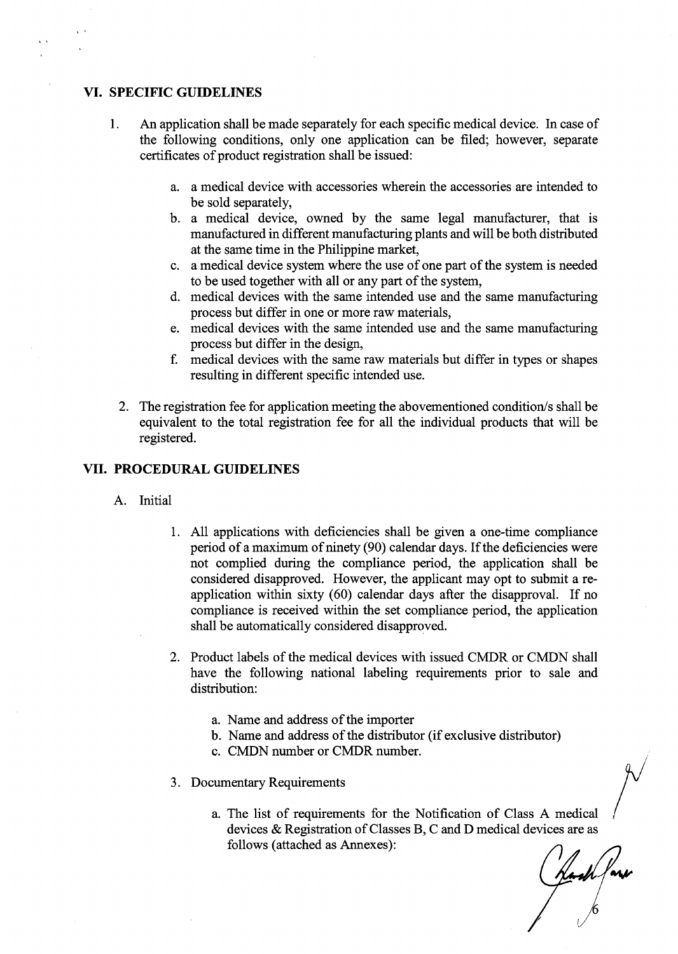### VI. SPECIFIC GUIDELINES

- 1. An application shall be made separately for each specific medical device. In case of the following conditions, only one application can be filed; however, separate certificates of product registration shall be issued:
	- a. a medical device with accessories wherein the accessories are intended to be sold separately,
	- b. a medical device, owned by the same legal manufacturer, that is manufactured in different manufacturing plants and will be both distributed at the same time in the Philippine market,
	- c. a medical device system where the use of one part of the system is needed to be used together with all or any part of the system,
	- (1. medical devices with the same intended use and the same manufacturing process but differ in one or more raw materials,
	- 6. medical devices with the same intended use and the same manufacturing process but differ in the design,
	- f. medical devices with the same raw materials but differ in types or shapes resulting in different specific intended use.
	- 2. The registration fee for application meeting the abovementioned condition/s shall be equivalent to the total registration fee for all the individual products that will be registered.

### VII. PROCEDURALGUIDELINES

- A. Initial
	- 1. All applications with deficiencies shall be given a one-time compliance period of a maximum of ninety (90) calendar days. If the deficiencies were not complied during the compliance period, the application shall be considered disapproved. However, the applicant may opt to submit a reapplication within sixty (60) calendar days after the disapproval. If no compliance is received within the set compliance period, the application shall be automatically considered disapproved.
	- 2. Product labels of the medical devices with issued CMDR or CMDN shall have the following national labeling requirements prior to sale and distribution:
		- a. Name and address of the importer
		- b. Name and address of the distributor (if exclusive distributor)
		- c. CMDN number or CMDR number.
	- 3. Documentary Requirements
		- a. The list of requirements for the Notification of Class A medical devices & Registration of Classes B, C and D medical devices are as follows (attached as Annexes):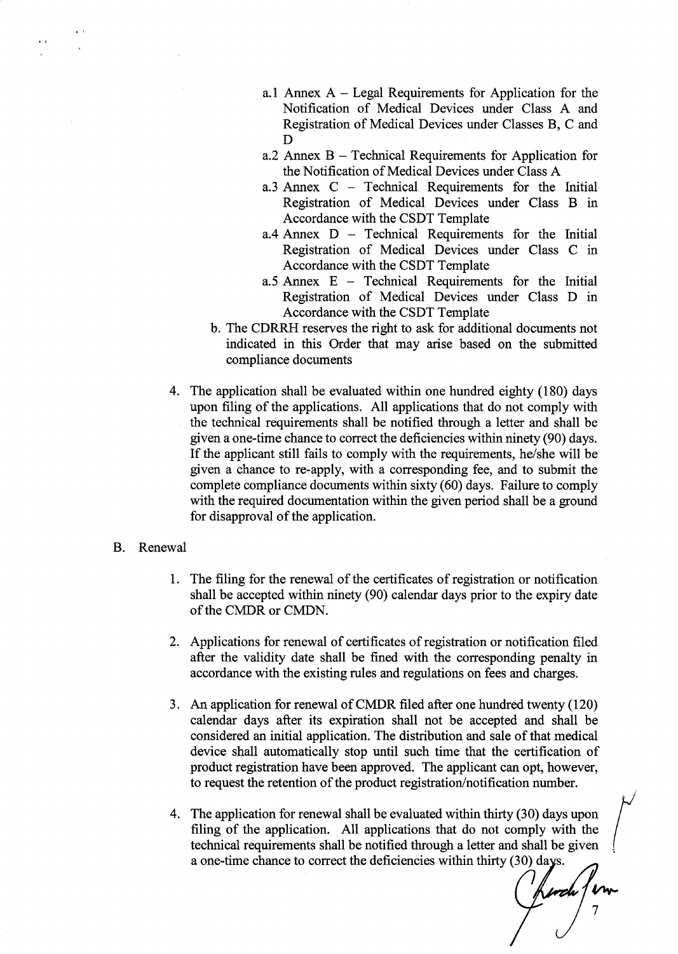- a.1 Annex A Legal Requirements for Application for the Notification of Medical Devices under Class A and Registration of Medical Devices under Classes B, C and D
- a.2 Annex B Technical Requirements for Application for the Notification of Medical Devices under Class A
- a.3 Annex C Technical Requirements for the Initial Registration of Medical Devices under Class B in Accordance with the CSDT Template
- a.4 Annex D Technical Requirements for the Initial Registration of Medical Devices under Class C in Accordance with the CSDT Template
- a.5 Annex E Technical Requirements for the Initial Registration of Medical Devices under Class D in Accordance with the CSDT Template
- b. The CDRRH reserves the right to ask for additional documents not indicated in this Order that may arise based on the submitted compliance documents
- 4. The application shall be evaluated within one hundred eighty (180) days upon filing of the applications. All applications that do not comply with the technical requirements shall be notified through a letter and shall be given a one-time chance to correct the deficiencies within ninety (90) days. If the applicant still fails to comply with the requirements, he/she will be given a chance to re-apply, with a corresponding fee, and to submit the complete compliance documents within sixty (60) days. Failure to comply with the required documentation within the given period shall be a ground for disapproval of the application.

#### B. Renewal

- 1. The filing for the renewal of the certificates of registration or notification shall be accepted within ninety (90) calendar days prior to the expiry date of the CMDR or CMDN.
- 2. Applications for renewal of certificates of registration or notification filed after the validity date shall be fined with the corresponding penalty in accordance with the existing rules and regulations on fees and charges.
- 3. An application for renewal of CMDR filed after one hundred twenty (120) calendar days after its expiration shall not be accepted and shall be considered an initial application. The distribution and sale of that medical device shall automatically stop until such time that the certification of product registration have been approved. The applicant can opt, however, to request the retention of the product registration/notification number.
- 4. The application for renewal shall be evaluated within thirty (30) days upon filing of the application. All applications that do not comply with the technical requirements shall be notified through a letter and shall be given a one-time chance to correct the deficiencies within thirty (30) days.

n<br>Inn 7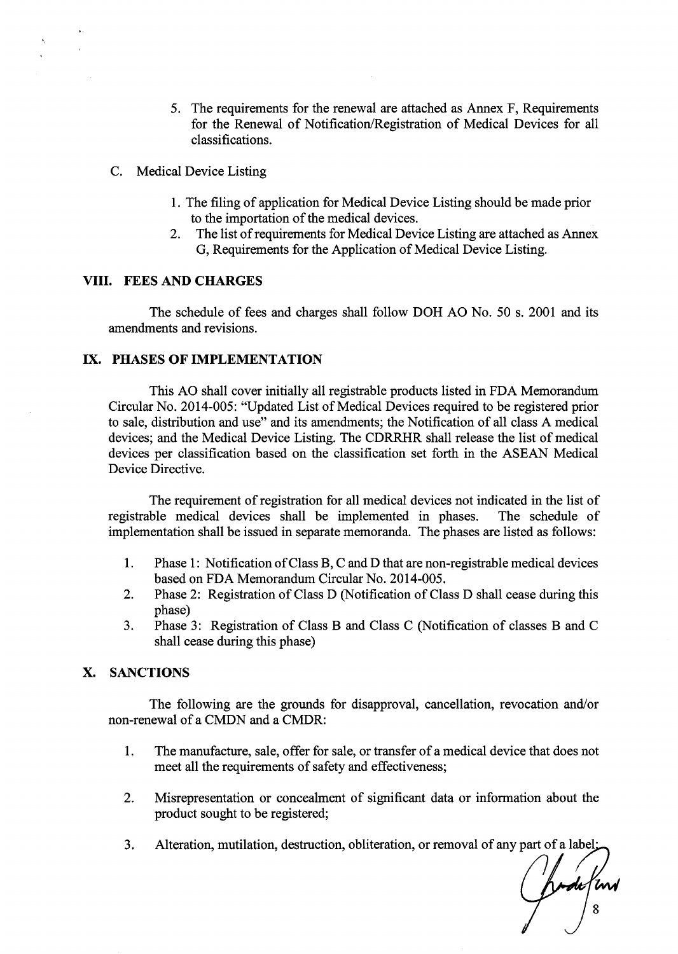- 5. The requirements for the renewal are attached as Annex F, Requirements for the Renewal of Notification/Registration of Medical Devices for all classifications.
- C. Medical Device Listing
	- 1. The filing of application for Medical Device Listing should be made prior to the importation of the medical devices.
	- 2. The list of requirements for Medical Device Listing are attached as Annex G, Requirements for the Application of Medical Device Listing.

## VIII. FEES AND CHARGES

The schedule of fees and charges shall follow DOH AO No. 50 s. 2001 and its amendments and revisions.

# IX. PHASES OF IMPLEMENTATION

This A0 shall cover initially all registrable products listed in FDA Memorandum Circular No. 2014-005: "Updated List of Medical Devices required to be registered prior to sale, distribution and use" and its amendments; the Notification of all class A medical devices; and the Medical Device Listing. The CDRRHR shall release the list of medical devices per classification based on the classification set forth in the ASEAN Medical Device Directive.

The requirement of registration for all medical devices not indicated in the list of registrable medical devices shall be implemented in phases. The schedule of implementation shall be issued in separate memoranda. The phases are listed as follows:

- 1. Phase 1: Notification ofClass B, C and D that are non-registrable medical devices based on FDA Memorandum Circular No. 2014-005.
- 2. Phase 2: Registration of Class D (Notification of Class D shall cease during this phase)
- 3. Phase 3: Registration of Class B and Class C (Notification of classes B and C shall cease during this phase)

# X. SANCTIONS

The following are the grounds for disapproval, cancellation, revocation and/or non-renewal of a CMDN and a CMDR:

- l. The manufacture, sale, offer for sale, or transfer of a medical device that does not meet all the requirements of safety and effectiveness;
- 2. Misrepresentation or concealment of significant data or information about the product sought to be registered;
- 3. Alteration, mutilation, destruction, obliteration, or removal of any part of a label'

,<br>Ind 8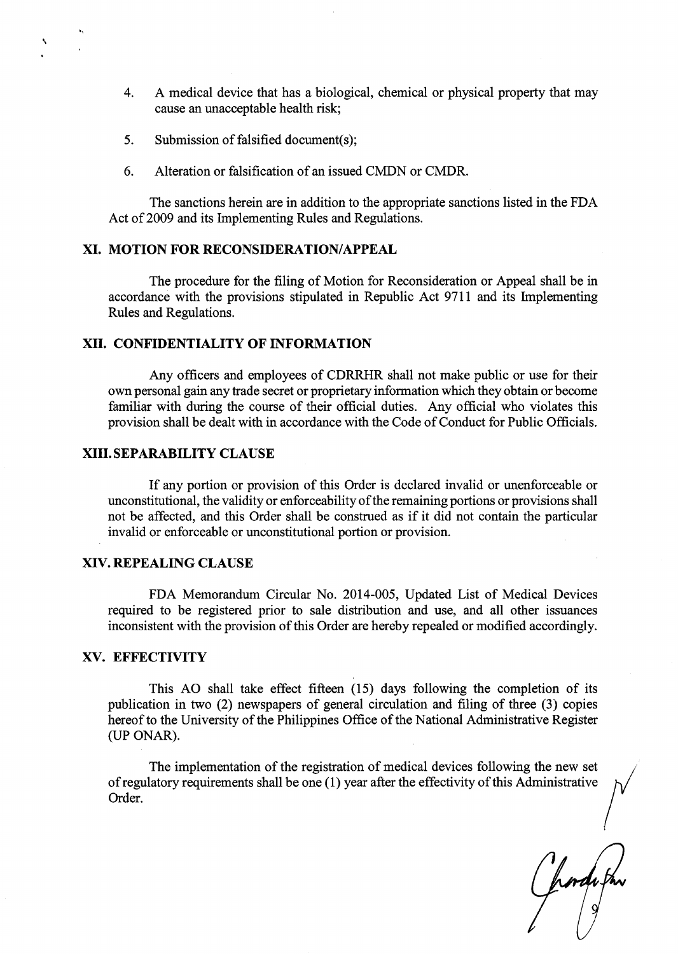- 4. A medical device that has a biological, chemical or physical property that may cause an unacceptable health risk;
- 5. Submission of falsified document(s);
- 6. Alteration or falsification of an issued CMDN or CMDR.

The sanctions herein are in addition to the appropriate sanctions listed in the FDA Act of 2009 and its Implementing Rules and Regulations.

#### XI. MOTION FOR RECONSIDERATION/APPEAL

The procedure for the filing of Motion for Reconsideration or Appeal shall be in accordance with the provisions stipulated in Republic Act 9711 and its Implementing Rules and Regulations.

#### XII. CONFIDENTIALITY OF INFORMATION

Any officers and employees of CDRRHR shall not make public or use for their own personal gain any trade secret or proprietary information which they obtain or become familiar with during the course of their official duties. Any official who violates this provision shall be dealt with in accordance with the Code of Conduct for Public Officials.

### XIII. SEPARABILITY CLAUSE

If any portion or provision of this Order is declared invalid or unenforceable or unconstitutional, the validity or enforceability of the remaining portions or provisions shall not be affected, and this Order shall be construed as if it did not contain the particular invalid or enforceable or unconstitutional portion or provision.

### XIV. REPEALING CLAUSE

FDA Memorandum Circular No. 2014-005, Updated List of Medical Devices required to be registered prior to sale distribution and use, and all other issuances inconsistent with the provision of this Order are hereby repealed or modified accordingly.

### XV. EFFECTIVITY

This AO shall take effect fifteen (15) days following the completion of its publication in two (2) newspapers of general circulation and filing of three (3) copies hereof to the University of the Philippines Office of the National Administrative Register (UP ONAR).

The implementation of the registration of medical devices following the new set ofregulatory requirements shall be one (1) year after the effectivity ofthis Administrative Order.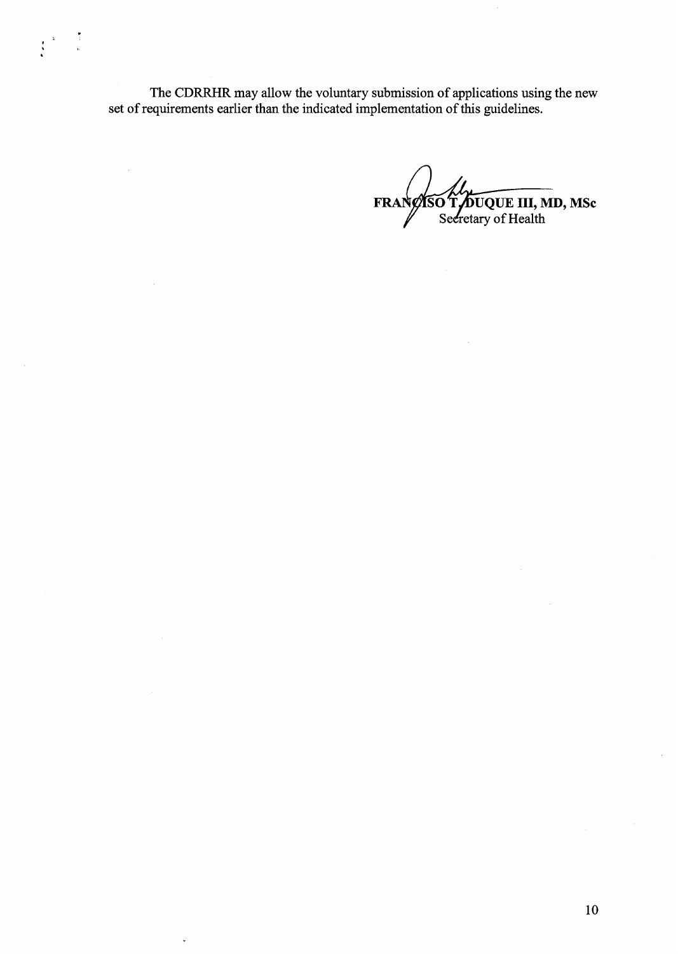The CDRRHR may allow the voluntary submission of applications using the new set of requirements earlier than the indicated implementation of this guidelines.

 $\mathcal{A}^{\mathcal{A}}$ 

J.

UQUE III, MD, MSc Seeretary of Health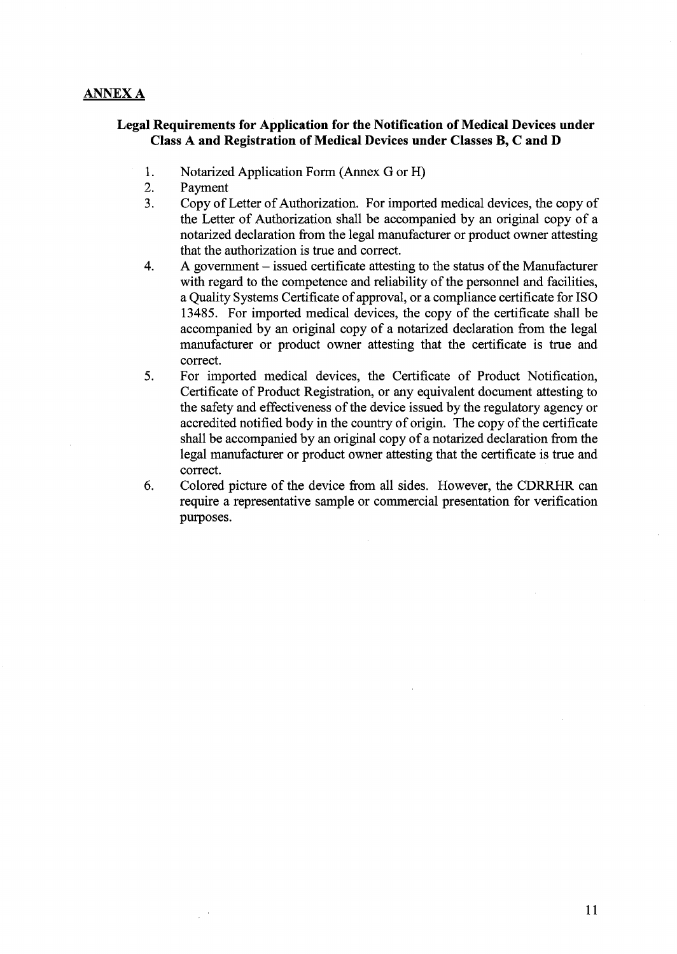# ANNEX A

## Legal Requirements for Application for the Notification of Medical Devices under Class A and Registration of Medical Devices under Classes B, C and D

- 1. Notarized Application Form (Annex G or H)
- 2. Payment
- 3. Copy of Letter of Authorization. For imported medical devices, the copy of the Letter of Authorization shall be accompanied by an original copy of a notarized declaration from the legal manufacturer or product owner attesting that the authorization is true and correct.
- $4.$ A government  $-$  issued certificate attesting to the status of the Manufacturer with regard to the competence and reliability of the personnel and facilities, a Quality Systems Certificate of approval, or a compliance certificate for ISO 13485. For imported medical devices, the copy of the certificate shall be accompanied by an original copy of a notarized declaration from the legal manufacturer or product owner attesting that the certificate is true and correct.
- 5. For imported medical devices, the Certificate of Product Notification, Certificate of Product Registration, or any equivalent document attesting to the safety and effectiveness of the device issued by the regulatory agency or accredited notified body in the country of origin. The copy of the certificate shall be accompanied by an original copy of a notarized declaration from the legal manufacturer or product owner attesting that the certificate is true and correct.
- 6. Colored picture of the device from all sides. However, the CDRRHR can require a representative sample or commercial presentation for verification purposes.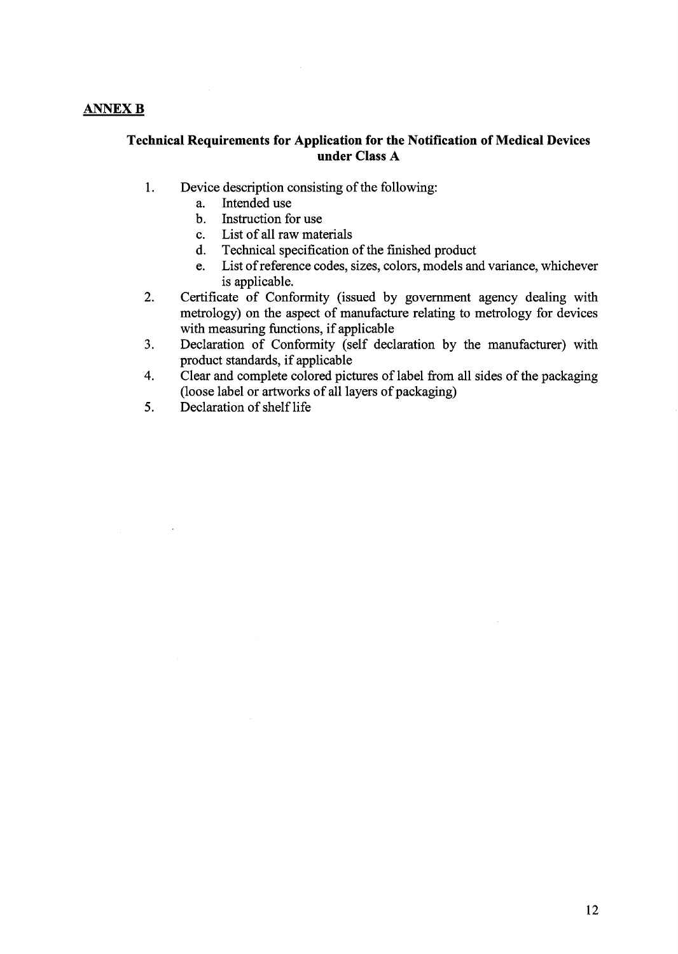# ANNEX B

# Technical Requirements for Application for the Notification of Medical Devices under Class A

- 1. Device description consisting of the following:
	- a. Intended use
	- Instruction for use
	- 0. List of all raw materials
	- d. Technical specification of the finished product
	- e. List of reference codes, sizes, colors, models and variance, whichever is applicable.
- 2. Certificate of Conformity (issued by government agency dealing with metrology) on the aspect of manufacture relating to metrology for devices with measuring functions, if applicable
- 3. Declaration of Conformity (self declaration by the manufacturer) with product standards, if applicable
- 4. Clear and complete colored pictures of label from all sides of the packaging (loose label or artworks of all layers of packaging)
- 5. Declaration of shelf life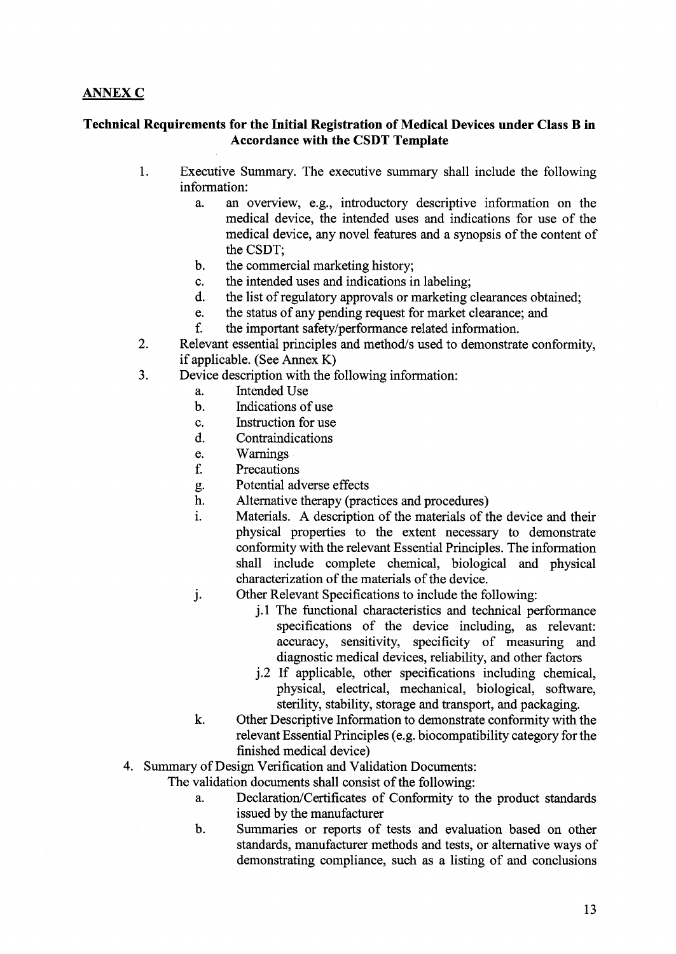# ANNEX C

# Technical Requirements for the Initial Registration of Medical Devices under Class B in Accordance with the CSDT Template

- 1. Executive Summary. The executive summary shall include the following information:
	- a. an overview, e.g., introductory descriptive information on the medical device, the intended uses and indications for use of the medical device, any novel features and a synopsis of the content of the CSDT;
	- b. the commercial marketing history;
	- the intended uses and indications in labeling; c.
	- $d$ . the list of regulatory approvals or marketing clearances obtained;
	- the status of any pending request for market clearance; and e.
	- f. the important safety/performance related information.
- 2. Relevant essential principles and method/s used to demonstrate conformity, if applicable. (See Annex K)
- 3. Device description with the following information:
	- Intended Use  $\mathbf{a}$ .
	- $\mathbf b$ . Indications of use
	- Instruction for use c.
	- $d.$ Contraindications
	- Warnings e.
	- f. Precautions
	- Potential adverse effects g.
	- $h$ . Alternative therapy (practices and procedures)
	- Materials. A description of the materials of the device and their i. physical properties to the extent necessary to demonstrate conformity with the relevant Essential Principles. The information shall include complete chemical, biological and physical characterization of the materials of the device.
	- Other Relevant Specifications to include the following:  $\mathbf{i}$ .
		- j.l The functional characteristics and technical performance specifications of the device including, as relevant: accuracy, sensitivity, specificity of measuring and diagnostic medical devices, reliability, and other factors
		- j.2 If applicable, other specifications including chemical, physical, electrical, mechanical, biological, software, sterility, stability, storage and transport, and packaging.
	- k. Other Descriptive Information to demonstrate conformity with the relevant Essential Principles (e.g. biocompatibility category for the finished medical device)
- 4. Summary of Design Verification and Validation Documents:

The validation documents shall consist of the following:

- a. Declaration/Certificates of Conformity to the product standards issued by the manufacturer
- b. Summaries or reports of tests and evaluation based on other standards, manufacturer methods and tests, or alternative ways of demonstrating compliance, such as a listing of and conclusions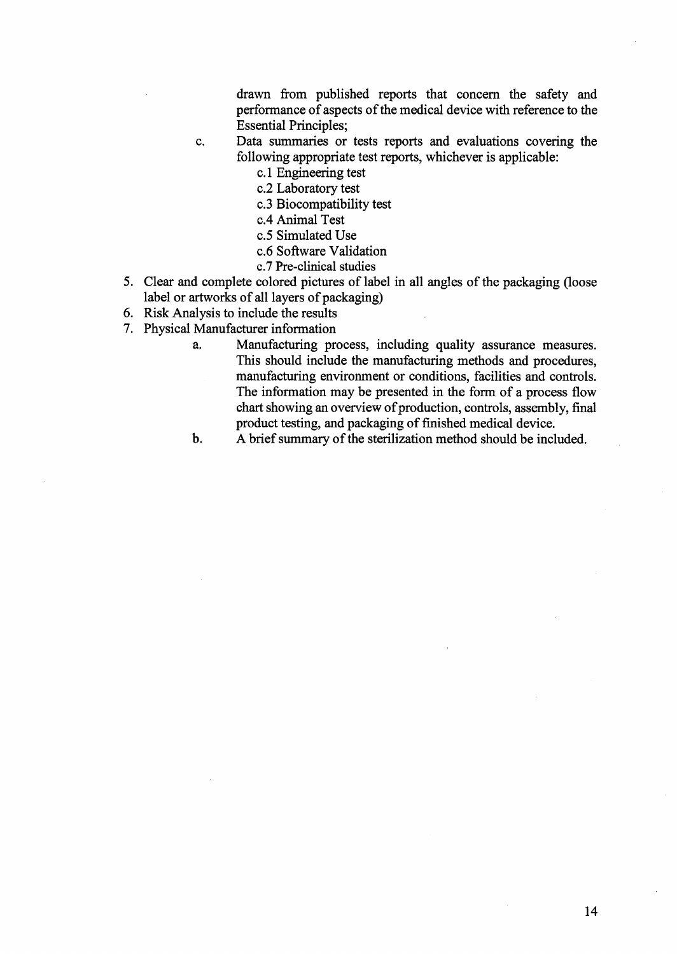drawn from published reports that concern the safety and performance of aspects of the medical device with reference to the Essential Principles;

- 0. Data summaries or tests reports and evaluations covering the following appropriate test reports, whichever is applicable:
	- c.1 Engineering test
	- c.2 Laboratory test
	- c.3 Biocompatibility test
	- c.4 Animal Test
	- c.5 Simulated Use
	- c.6 Software Validation
	- c.7 Pre-clinical studies
- Clear and complete colored pictures of label in all angles of the packaging (loose label or artworks of all layers of packaging)
- 6. Risk Analysis to include the results
- 7. Physical Manufacturer information
	- a. Manufacturing process, including quality assurance measures. This should include the manufacturing methods and procedures, manufacturing environment or conditions, facilities and controls. The information may be presented in the form of a process flow chart showing an overview of production, controls, assembly, final product testing, and packaging of finished medical device.

b. A brief summary of the sterilization method should be included.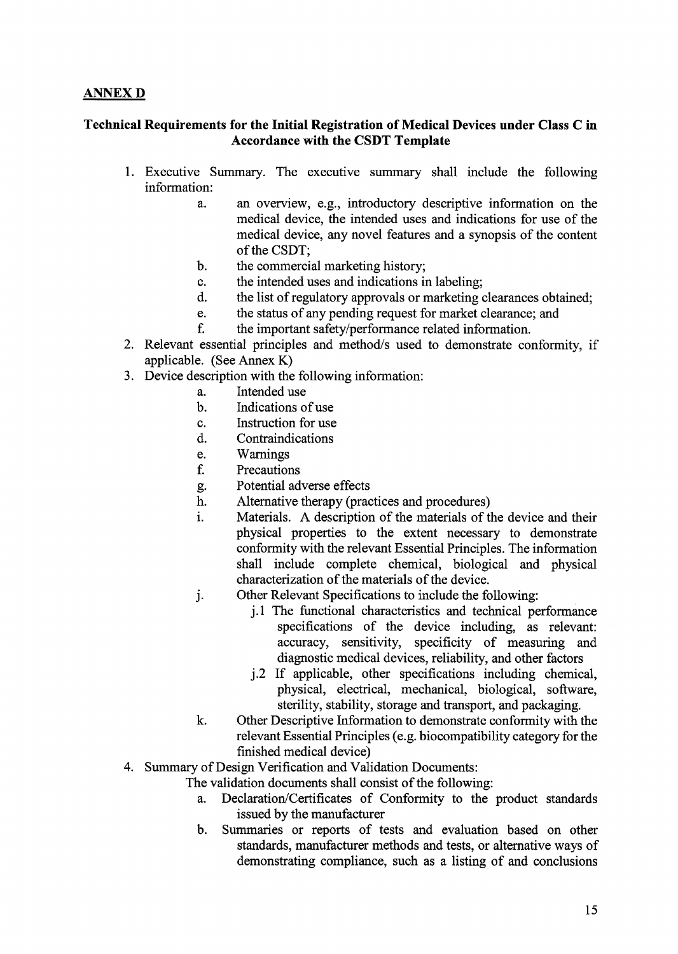# ANNEX D

# Technical Requirements for the Initial Registration of Medical Devices under Class C in Accordance with the CSDT Template

- 1. Executive Summary. The executive summary shall include the following information:
	- a. an overview, e.g., introductory descriptive information on the medical device, the intended uses and indications for use of the medical device, any novel features and a synopsis of the content of the CSDT;
	- **.** the commercial marketing history;
	- the intended uses and indications in labeling; c.
	- $d$ . the list of regulatory approvals or marketing clearances obtained;
	- $\mathbf{e}$ . the status of any pending request for market clearance; and
	- the important safety/performance related information.  $f_{\cdot}$
- 2 Relevant essential principles and method/s used to demonstrate conformity, if applicable. (See Annex K)
- 3. Device description with the following information:
	- Intended use a.
		- $\mathbf b$ . Indications of use
		- c. Instruction for use
		- d. Contraindications
		- Warnings e.
		- $f<sub>r</sub>$ Precautions
		- Potential adverse effects g.
		- h. Alternative therapy (practices and procedures)
		- Materials. A description of the materials of the device and their i. physical properties to the extent necessary to demonstrate conformity with the relevant Essential Principles. The information shall include complete chemical, biological and physical characterization of the materials of the device.
		- Other Relevant Specifications to include the following:  $\mathbf{i}$ .
			- j.1 The functional characteristics and technical performance specifications of the device including, as relevant: accuracy, sensitivity, specificity of measuring and diagnostic medical devices, reliability, and other factors
			- j.2 If applicable, other specifications including chemical, physical, electrical, mechanical, biological, software, sterility, stability, storage and transport, and packaging.
		- Other Descriptive Information to demonstrate conformity with the k. relevant Essential Principles (e.g. biocompatibility category for the finished medical device)
- 4. Summary of Design Verification and Validation Documents:

The validation documents shall consist of the following:

- a. Declaration/Certificates of Conformity to the product standards issued by the manufacturer
- b. Summaries or reports of tests and evaluation based on other standards, manufacturer methods and tests, or alternative ways of demonstrating compliance, such as a listing of and conclusions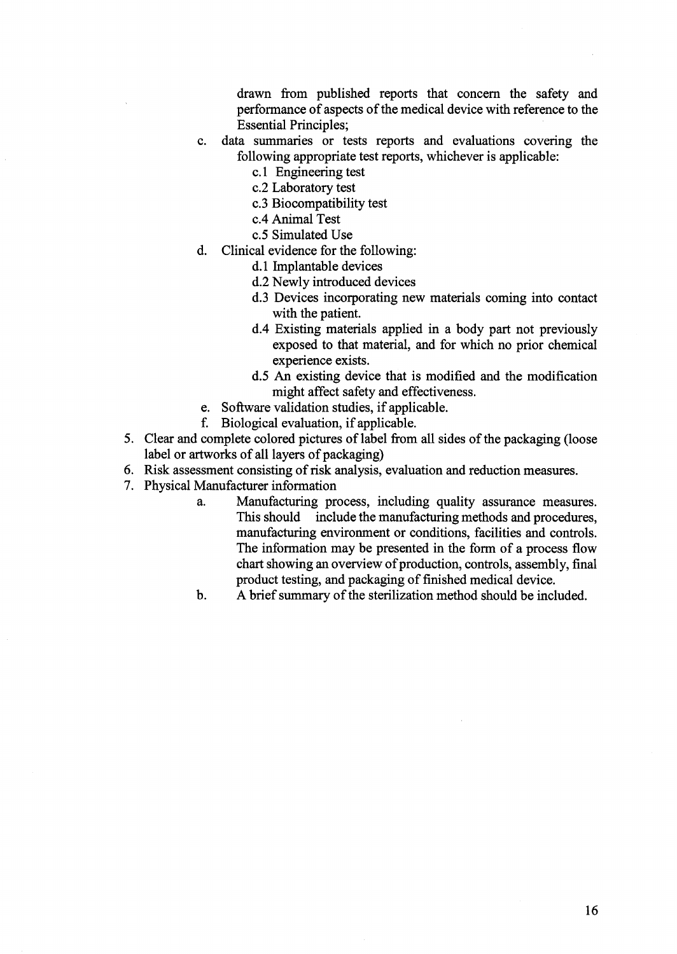drawn from published reports that concern the safety and performance of aspects of the medical device with reference to the **Essential Principles;** 

- C. data summaries or tests reports and evaluations covering the following appropriate test reports, whichever is applicable:
	- c.l Engineering test
	- c.2 Laboratory test
	- c.3 Biocompatibility test
	- c.4 Animal Test
	- 05 Simulated Use
- d. Clinical evidence for the following:
	- d.1 Implantable devices
	- d.2 Newly introduced devices
	- d.3 Devices incorporating new materials coming into contact with the patient.
	- d.4 Existing materials applied in a body part not previously exposed to that material, and for which no prior chemical experience exists.
	- d.5 An existing device that is modified and the modification might affect safety and effectiveness.
- 6. Software validation studies, if applicable.
- f. Biological evaluation, if applicable.
- 5. Clear and complete colored pictures of label from all sides of the packaging (loose label or artworks of all layers of packaging)
- 6. Risk assessment consisting of risk analysis, evaluation and reduction measures.
- 7. Physical Manufacturer information
	- a. Manufacturing process, including quality assurance measures. This should include the manufacturing methods and procedures, manufacturing environment or conditions, facilities and controls. The information may be presented in the form of a process flow chart showing an overview of production, controls, assembly, final product testing, and packaging of finished medical device.
	- A brief summary of the sterilization method should be included. b.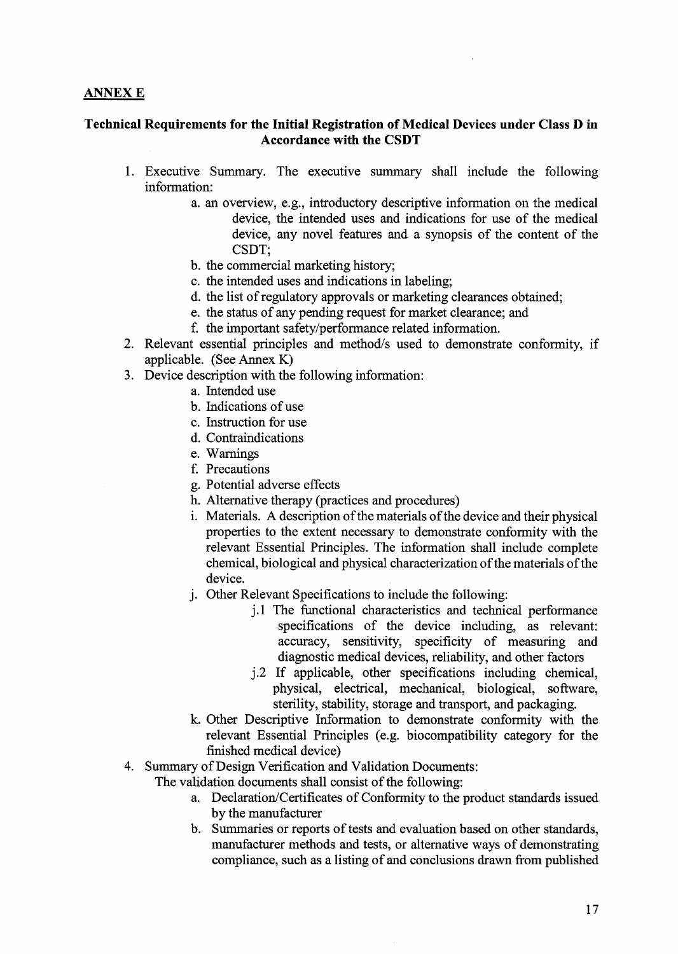## ANNEX E

# Technical Requirements for the Initial Registration of Medical Devices under Class D in Accordancewith the CSDT

- 1. Executive Summary. The executive summary shall include the following information:
	- a. an overview, e.g., introductory descriptive information on the medical device, the intended uses and indications for use of the medical device, any novel features and a synopsis of the content of the CSDT;
	- b. the commercial marketing history;
	- 0. the intended uses and indications in labeling;
	- d. the list of regulatory approvals or marketing clearances obtained;
	- e. the status of any pending request for market clearance; and
	- f. the important safety/performance related information.
- 2. Relevant essential principles and method/s used to demonstrate conformity, if applicable. (See Annex K)
- 3. Device description with the following information:
	- a. Intended use
	- b. Indications of use
	- c. Instruction for use
	- d. Contraindications
	- e. Warnings
	- f. Precautions
	- g. Potential adverse effects
	- . Alternative therapy (practices and procedures)
	- i. Materials. A description of the materials of the device and their physical properties to the extent necessary to demonstrate conformity with the relevant Essential Principles. The information shall include complete chemical, biological and physical characterization of the materials of the device.
	- j. Other Relevant Specifications to include the following:
		- j.1 The functional characteristics and technical performance specifications of the device including, as relevant: accuracy, sensitivity, specificity of measuring and diagnostic medical devices, reliability, and other factors
		- j.2 If applicable, other specifications including chemical, physical, electrical, mechanical, biological, software, sterility, stability, storage and transport, and packaging.
	- k. Other Descriptive Information to demonstrate conformity with the relevant Essential Principles (e.g. biocompatibility category for the finished medical device)
- 4. Summary of Design Verification and Validation Documents:

The validation documents shall consist of the following:

- a. Declaration/Certificates of Conformity to the product standards issued by the manufacturer
- b. Summaries or reports of tests and evaluation based on other standards, manufacturer methods and tests, or alternative ways of demonstrating compliance, such as a listing of and conclusions drawn from published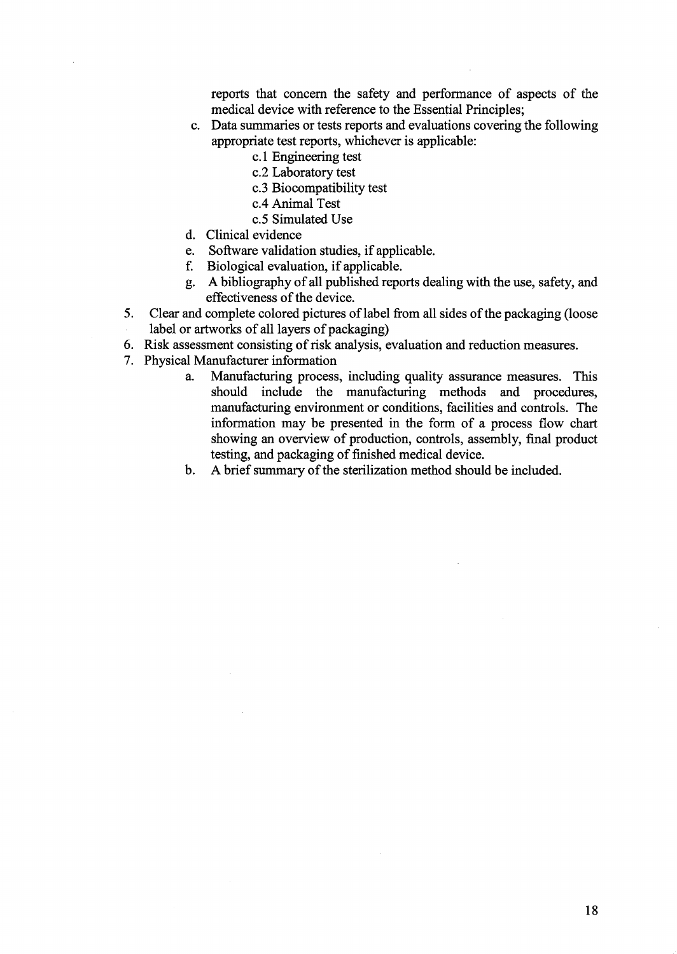reports that concern the safety and performance of aspects of the medical device with reference to the Essential Principles;

- Data summaries or tests reports and evaluations covering the following appropriate test reports, Whichever is applicable:
	- c.1 Engineering test
	- c.2 Laboratory test
	- c.3 Biocompatibility test
	- c.4 Animal Test
	- c.5 Simulated Use
- Clinical evidence
- e. Software validation studies, if applicable.
- f. Biological evaluation, if applicable.
- g. A bibliography of all published reports dealing with the use, safety, and effectiveness of the device.
- 5. Clear and complete colored pictures of label from all sides of the packaging (loose label or artworks of all layers of packaging)
- 6. Risk assessment consisting of risk analysis, evaluation and reduction measures.
- 7. Physical Manufacturer information
	- a. Manufacturing process, including quality assurance measures. This should include the manufacturing methods and procedures, manufacturing environment or conditions, facilities and controls. The information may be presented in the form of a process flow chart showing an overview of production, controls, assembly, final product testing, and packaging of finished medical device.
	- A brief summary of the sterilization method should be included.  $\mathbf{b}$ .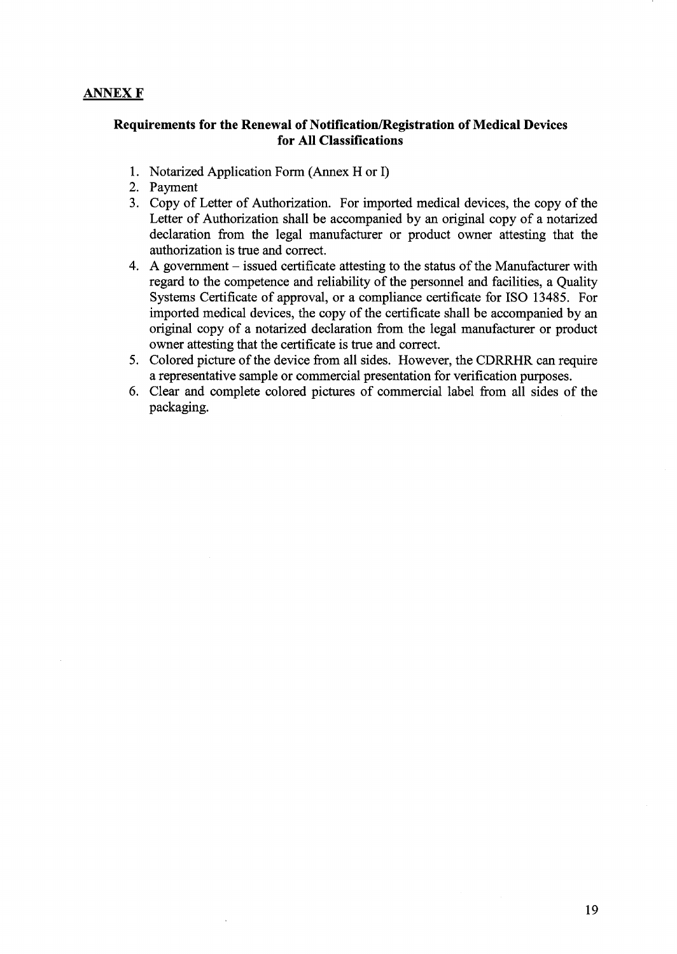# ANNEX F

## Requirements for the Renewal of Notification/Registration of Medical Devices for All Classifications

- 1. Notarized Application Form (Annex H or I)
- 2. Payment
- 3. Copy of Letter of Authorization. For imported medical devices, the copy of the Letter of Authorization shall be accompanied by an original copy of a notarized declaration from the legal manufacturer or product owner attesting that the authorization is true and correct.
- 4. A government issued certificate attesting to the status of the Manufacturer with regard to the competence and reliability of the personnel and facilities, a Quality Systems Certificate of approval, or a compliance certificate for ISO 13485. For imported medical devices, the copy of the certificate shall be accompanied by an original copy of a notarized declaration from the legal manufacturer or product owner attesting that the certificate is true and correct.
- 5. Colored picture of the device from all sides. However, the CDRRHR can require a representative sample or commercial presentation for verification purposes.
- 6. Clear and complete colored pictures of commercial label from all sides of the packaging.